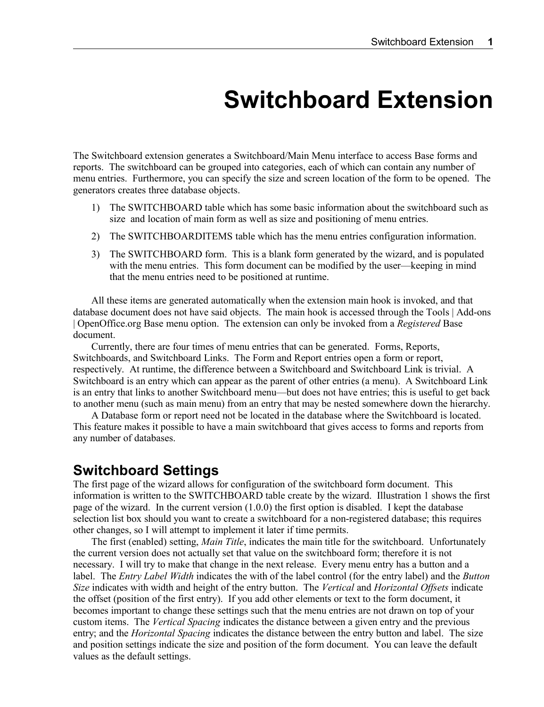## **Switchboard Extension**

The Switchboard extension generates a Switchboard/Main Menu interface to access Base forms and reports. The switchboard can be grouped into categories, each of which can contain any number of menu entries. Furthermore, you can specify the size and screen location of the form to be opened. The generators creates three database objects.

- 1) The SWITCHBOARD table which has some basic information about the switchboard such as size and location of main form as well as size and positioning of menu entries.
- 2) The SWITCHBOARDITEMS table which has the menu entries configuration information.
- 3) The SWITCHBOARD form. This is a blank form generated by the wizard, and is populated with the menu entries. This form document can be modified by the user—keeping in mind that the menu entries need to be positioned at runtime.

All these items are generated automatically when the extension main hook is invoked, and that database document does not have said objects. The main hook is accessed through the Tools | Add-ons | OpenOffice.org Base menu option. The extension can only be invoked from a *Registered* Base document.

Currently, there are four times of menu entries that can be generated. Forms, Reports, Switchboards, and Switchboard Links. The Form and Report entries open a form or report, respectively. At runtime, the difference between a Switchboard and Switchboard Link is trivial. A Switchboard is an entry which can appear as the parent of other entries (a menu). A Switchboard Link is an entry that links to another Switchboard menu—but does not have entries; this is useful to get back to another menu (such as main menu) from an entry that may be nested somewhere down the hierarchy.

A Database form or report need not be located in the database where the Switchboard is located. This feature makes it possible to have a main switchboard that gives access to forms and reports from any number of databases.

## **Switchboard Settings**

The first page of the wizard allows for configuration of the switchboard form document. This information is written to the SWITCHBOARD table create by the wizard. Illustration 1 shows the first page of the wizard. In the current version (1.0.0) the first option is disabled. I kept the database selection list box should you want to create a switchboard for a non-registered database; this requires other changes, so I will attempt to implement it later if time permits.

The first (enabled) setting, *Main Title*, indicates the main title for the switchboard. Unfortunately the current version does not actually set that value on the switchboard form; therefore it is not necessary. I will try to make that change in the next release. Every menu entry has a button and a label. The *Entry Label Width* indicates the with of the label control (for the entry label) and the *Button Size* indicates with width and height of the entry button. The *Vertical* and *Horizontal Offsets* indicate the offset (position of the first entry). If you add other elements or text to the form document, it becomes important to change these settings such that the menu entries are not drawn on top of your custom items. The *Vertical Spacing* indicates the distance between a given entry and the previous entry; and the *Horizontal Spacing* indicates the distance between the entry button and label. The size and position settings indicate the size and position of the form document. You can leave the default values as the default settings.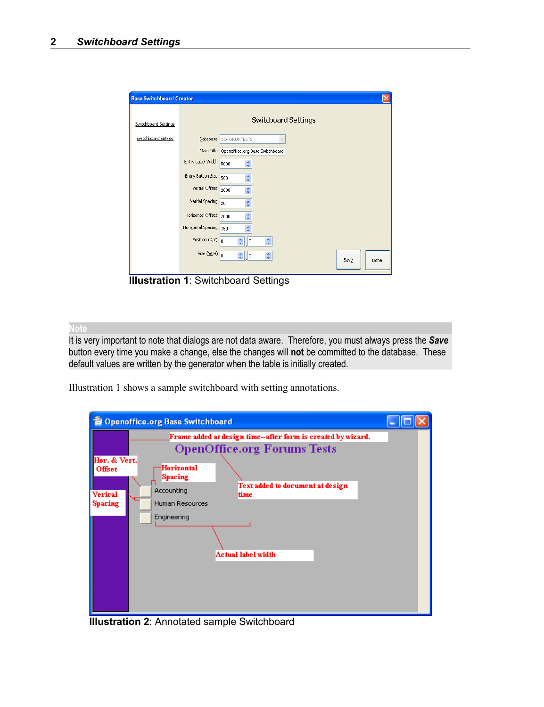| <b>Base Switchboard Creator</b> |                                       | x                                                |
|---------------------------------|---------------------------------------|--------------------------------------------------|
| Switchboard Settings            |                                       | <b>Switcboard Settings</b>                       |
| Switchboard Entries             |                                       | Database OOFORUMTESTS<br>$\checkmark$            |
|                                 |                                       | Main Title Openoffice.org Base Switchboard       |
|                                 | Entry Label Width                     | ÷<br>5000                                        |
|                                 | Entry Button Size                     | ÷<br>500                                         |
|                                 | Vertial Offset                        | ÷<br>2000                                        |
|                                 | Vertial Spacing                       | $\hat{\mathbf{v}}$<br>20                         |
|                                 | Horizontal Offset 2000                | $\frac{\lambda}{\nu}$                            |
|                                 | Horizontal Spacing 150                | ÷                                                |
|                                 | Position $(X,Y)$ 0                    | ÷<br>$\hat{\mathbf{v}}$<br>$\vert \vert$ 0       |
|                                 | Size $(\mathsf{W},\mathsf{H})\big _0$ | $\frac{1}{2}$ 0<br>$\hat{\cdot}$<br>Save<br>Done |
|                                 |                                       |                                                  |

**Illustration 1**: Switchboard Settings

**Note**

It is very important to note that dialogs are not data aware. Therefore, you must always press the *Save* button every time you make a change, else the changes will **not** be committed to the database. These default values are written by the generator when the table is initially created.

Illustration 1 shows a sample switchboard with setting annotations.

| <b>@</b> Openoffice.org Base Switchboard                                                                                                                                                                     |  |  |  |  |  |
|--------------------------------------------------------------------------------------------------------------------------------------------------------------------------------------------------------------|--|--|--|--|--|
| Frame added at design time--after form is created by wizard.                                                                                                                                                 |  |  |  |  |  |
| <b>OpenOffice.org Forums Tests</b>                                                                                                                                                                           |  |  |  |  |  |
| Hor. & Vert.<br>Horizontal<br><b>Offset</b><br><b>Spacing</b><br>Text added to document at design<br>Accounting<br>Verical<br>time<br>Human Resources<br>Spacing<br>Engineering<br><b>Actual label width</b> |  |  |  |  |  |

**Illustration 2**: Annotated sample Switchboard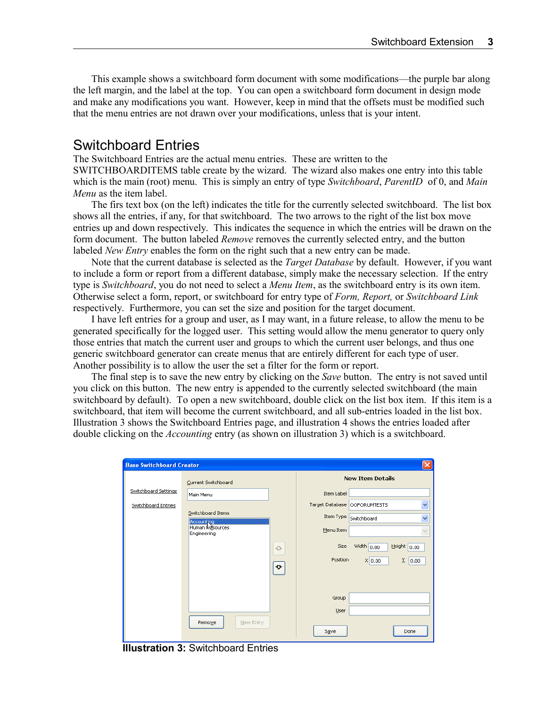This example shows a switchboard form document with some modifications—the purple bar along the left margin, and the label at the top. You can open a switchboard form document in design mode and make any modifications you want. However, keep in mind that the offsets must be modified such that the menu entries are not drawn over your modifications, unless that is your intent.

## Switchboard Entries

The Switchboard Entries are the actual menu entries. These are written to the SWITCHBOARDITEMS table create by the wizard. The wizard also makes one entry into this table which is the main (root) menu. This is simply an entry of type *Switchboard*, *ParentID* of 0, and *Main Menu* as the item label.

The firs text box (on the left) indicates the title for the currently selected switchboard. The list box shows all the entries, if any, for that switchboard. The two arrows to the right of the list box move entries up and down respectively. This indicates the sequence in which the entries will be drawn on the form document. The button labeled *Remove* removes the currently selected entry, and the button labeled *New Entry* enables the form on the right such that a new entry can be made.

Note that the current database is selected as the *Target Database* by default. However, if you want to include a form or report from a different database, simply make the necessary selection. If the entry type is *Switchboard*, you do not need to select a *Menu Item*, as the switchboard entry is its own item. Otherwise select a form, report, or switchboard for entry type of *Form, Report,* or *Switchboard Link* respectively. Furthermore, you can set the size and position for the target document.

I have left entries for a group and user, as I may want, in a future release, to allow the menu to be generated specifically for the logged user. This setting would allow the menu generator to query only those entries that match the current user and groups to which the current user belongs, and thus one generic switchboard generator can create menus that are entirely different for each type of user. Another possibility is to allow the user the set a filter for the form or report.

The final step is to save the new entry by clicking on the *Save* button. The entry is not saved until you click on this button. The new entry is appended to the currently selected switchboard (the main switchboard by default). To open a new switchboard, double click on the list box item. If this item is a switchboard, that item will become the current switchboard, and all sub-entries loaded in the list box. Illustration 3 shows the Switchboard Entries page, and illustration 4 shows the entries loaded after double clicking on the *Accounting* entry (as shown on illustration 3) which is a switchboard.

| <b>Base Switchboard Creator</b> |                                 |             |                                |                               |  |  |  |  |
|---------------------------------|---------------------------------|-------------|--------------------------------|-------------------------------|--|--|--|--|
|                                 | Current Switchboard             |             | <b>New Item Details</b>        |                               |  |  |  |  |
| Switchboard Settings            | Main Menu                       |             | Item Label                     |                               |  |  |  |  |
| Switchboard Entries             |                                 |             | Target Database   OOFORUMTESTS | $\ddotmark$                   |  |  |  |  |
|                                 | Switchboard Items<br>Accounting |             | Item Type<br>Switchboard       | Y                             |  |  |  |  |
|                                 | Human kasources<br>Engineering  |             | Menu Item                      | $\checkmark$                  |  |  |  |  |
|                                 |                                 | $\triangle$ | Size                           | Width $0.00$<br>Height $0.00$ |  |  |  |  |
|                                 |                                 | ❖           | Position                       | Y.<br>X 0.00<br>0.00          |  |  |  |  |
|                                 |                                 |             |                                |                               |  |  |  |  |
|                                 |                                 |             | Group                          |                               |  |  |  |  |
|                                 |                                 |             | User                           |                               |  |  |  |  |
|                                 | Remove<br>New Entry             |             | Save                           | Done                          |  |  |  |  |

**Illustration 3:** Switchboard Entries